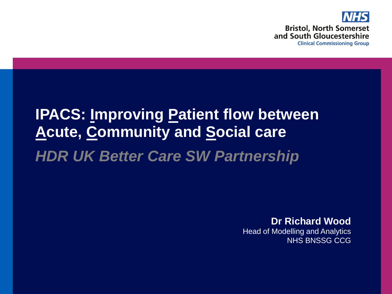

# **IPACS: Improving Patient flow between Acute, Community and Social care** *HDR UK Better Care SW Partnership*

#### **Dr Richard Wood**

Head of Modelling and Analytics NHS BNSSG CCG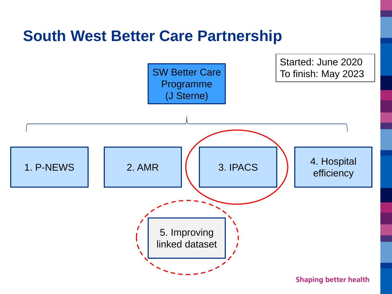### **South West Better Care Partnership**

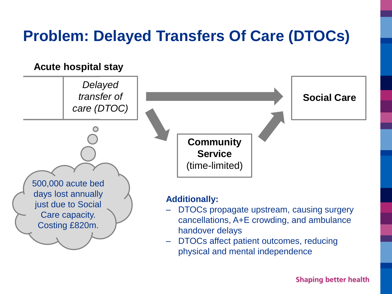# **Problem: Delayed Transfers Of Care (DTOCs)**

#### **Acute hospital stay**



‒ DTOCs affect patient outcomes, reducing physical and mental independence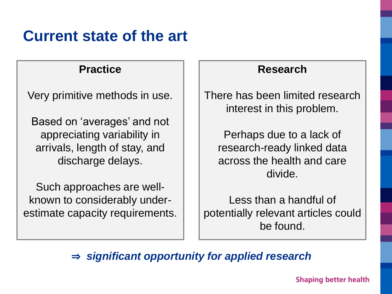### **Current state of the art**

#### **Practice**

Very primitive methods in use.

Based on 'averages' and not appreciating variability in arrivals, length of stay, and discharge delays.

Such approaches are wellknown to considerably underestimate capacity requirements.

#### **Research**

There has been limited research interest in this problem.

Perhaps due to a lack of research-ready linked data across the health and care divide.

Less than a handful of potentially relevant articles could be found.

⇒ *significant opportunity for applied research*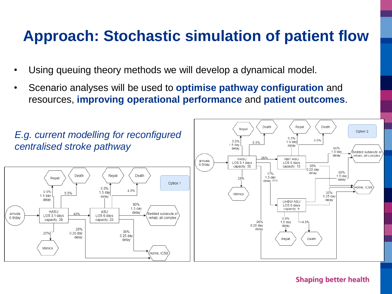### **Approach: Stochastic simulation of patient flow**

- Using queuing theory methods we will develop a dynamical model.
- Scenario analyses will be used to **optimise pathway configuration** and resources, **improving operational performance** and **patient outcomes**.

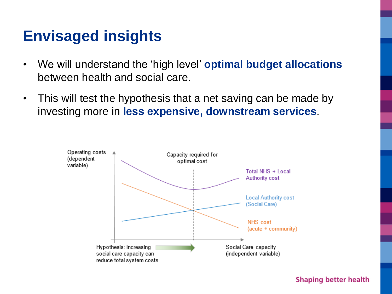#### **Envisaged insights**

- We will understand the 'high level' **optimal budget allocations**  between health and social care.
- This will test the hypothesis that a net saving can be made by investing more in **less expensive, downstream services**.

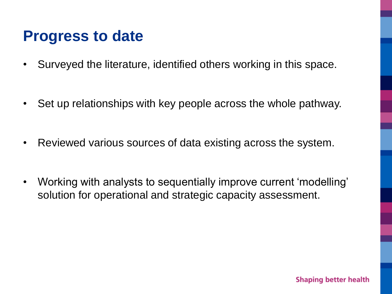#### **Progress to date**

- Surveyed the literature, identified others working in this space.
- Set up relationships with key people across the whole pathway.
- Reviewed various sources of data existing across the system.
- Working with analysts to sequentially improve current 'modelling' solution for operational and strategic capacity assessment.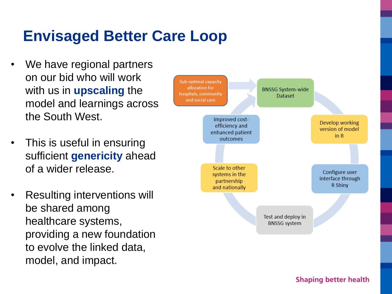# **Envisaged Better Care Loop**

- We have regional partners on our bid who will work with us in **upscaling** the model and learnings across the South West.
- This is useful in ensuring sufficient **genericity** ahead of a wider release.
- Resulting interventions will be shared among healthcare systems, providing a new foundation to evolve the linked data, model, and impact.

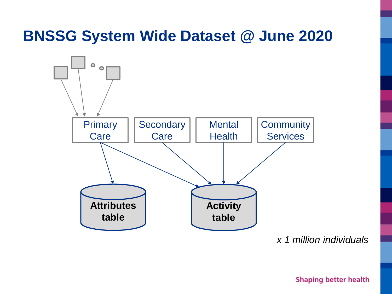### **BNSSG System Wide Dataset @ June 2020**



*x 1 million individuals*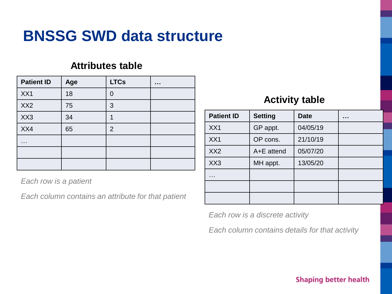### **BNSSG SWD data structure**

#### **Attributes table**

| <b>Patient ID</b> | Age | <b>LTCs</b>    |  |
|-------------------|-----|----------------|--|
| XX1               | 18  | 0              |  |
| XX <sub>2</sub>   | 75  | 3              |  |
| XX3               | 34  |                |  |
| XX4               | 65  | $\overline{2}$ |  |
| .                 |     |                |  |
|                   |     |                |  |
|                   |     |                |  |

*Each row is a patient*

*Each column contains an attribute for that patient*

#### **Activity table**

| <b>Patient ID</b> | <b>Setting</b> | <b>Date</b> |  |
|-------------------|----------------|-------------|--|
| XX1               | GP appt.       | 04/05/19    |  |
| XX1               | OP cons.       | 21/10/19    |  |
| XX2               | A+E attend     | 05/07/20    |  |
| XX3               | MH appt.       | 13/05/20    |  |
|                   |                |             |  |
|                   |                |             |  |
|                   |                |             |  |

*Each row is a discrete activity*

*Each column contains details for that activity*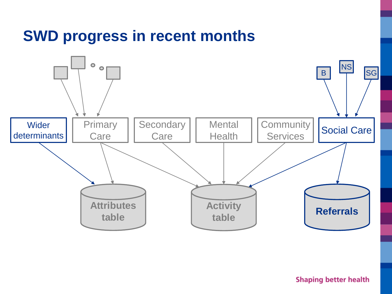### **SWD progress in recent months**

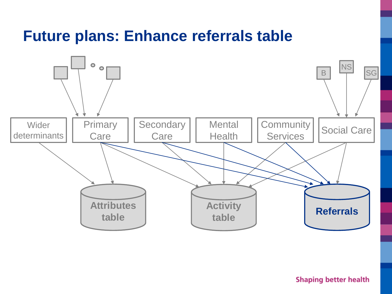#### **Future plans: Enhance referrals table**

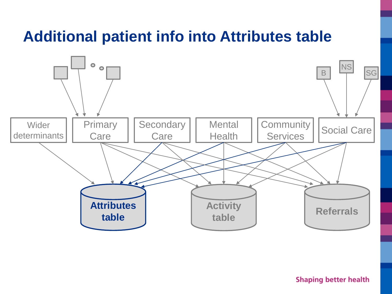### **Additional patient info into Attributes table**

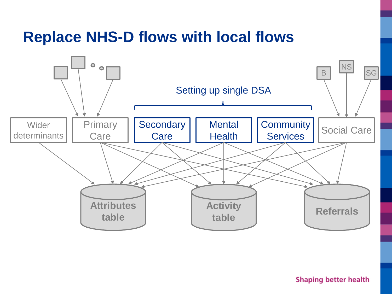### **Replace NHS-D flows with local flows**

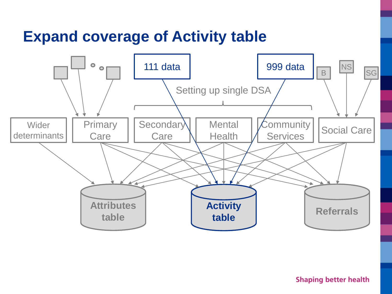# **Expand coverage of Activity table**

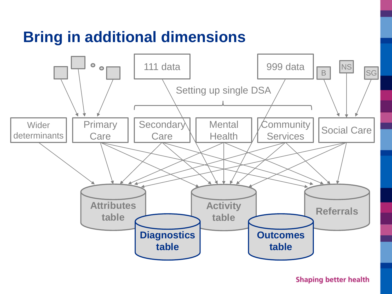# **Bring in additional dimensions**